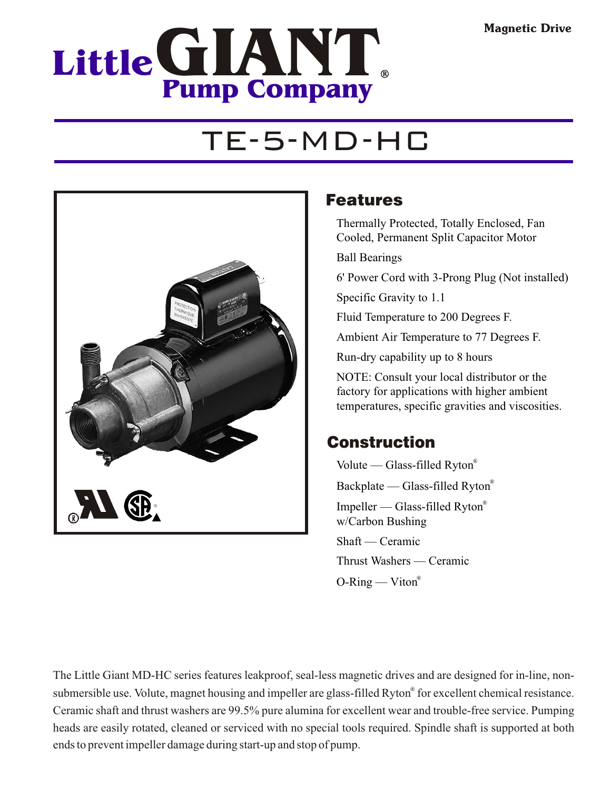## **LittleG IANT Pump Company**

## TE-5-MD-HC



### Features

Thermally Protected, Totally Enclosed, Fan Cooled, Permanent Split Capacitor Motor

Ball Bearings

6' Power Cord with 3-Prong Plug (Not installed)

Specific Gravity to 1.1

Fluid Temperature to 200 Degrees F.

Ambient Air Temperature to 77 Degrees F.

Run-dry capability up to 8 hours

NOTE: Consult your local distributor or the factory for applications with higher ambient temperatures, specific gravities and viscosities.

### Construction

Volute — Glass-filled Ryton® Backplate — Glass-filled Ryton® Impeller — Glass-filled Ryton® w/Carbon Bushing Shaft — Ceramic Thrust Washers — Ceramic  $O-Ring$  — Viton<sup>®</sup>

The Little Giant MD-HC series features leakproof, seal-less magnetic drives and are designed for in-line, nonsubmersible use. Volute, magnet housing and impeller are glass-filled Ryton® for excellent chemical resistance. Ceramic shaft and thrust washers are 99.5% pure alumina for excellent wear and trouble-free service. Pumping heads are easily rotated, cleaned or serviced with no special tools required. Spindle shaft is supported at both ends to prevent impeller damage during start-up and stop of pump.